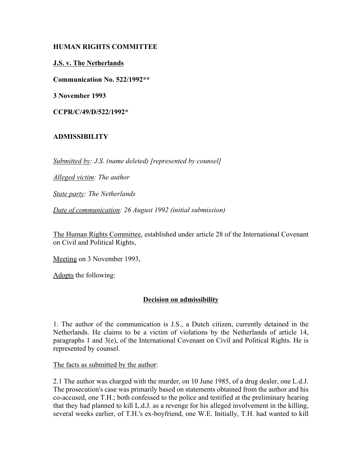## **HUMAN RIGHTS COMMITTEE**

## **J.S. v. The Netherlands**

**Communication No. 522/1992\*\***

**3 November 1993**

**CCPR/C/49/D/522/1992\***

# **ADMISSIBILITY**

*Submitted by: J.S. (name deleted) [represented by counsel]*

*Alleged victim: The author*

*State party: The Netherlands*

*Date of communication: 26 August 1992 (initial submission)*

The Human Rights Committee, established under article 28 of the International Covenant on Civil and Political Rights,

Meeting on 3 November 1993,

Adopts the following:

# **Decision on admissibility**

1. The author of the communication is J.S., a Dutch citizen, currently detained in the Netherlands. He claims to be a victim of violations by the Netherlands of article 14, paragraphs 1 and 3(e), of the International Covenant on Civil and Political Rights. He is represented by counsel.

The facts as submitted by the author:

2.1 The author was charged with the murder, on 10 June 1985, of a drug dealer, one L.d.J. The prosecution's case was primarily based on statements obtained from the author and his co-accused, one T.H.; both confessed to the police and testified at the preliminary hearing that they had planned to kill L.d.J. as a revenge for his alleged involvement in the killing, several weeks earlier, of T.H.'s ex-boyfriend, one W.E. Initially, T.H. had wanted to kill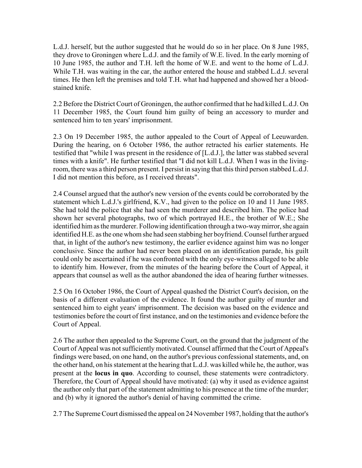L.d.J. herself, but the author suggested that he would do so in her place. On 8 June 1985, they drove to Groningen where L.d.J. and the family of W.E. lived. In the early morning of 10 June 1985, the author and T.H. left the home of W.E. and went to the home of L.d.J. While T.H. was waiting in the car, the author entered the house and stabbed L.d.J. several times. He then left the premises and told T.H. what had happened and showed her a bloodstained knife.

2.2 Before the District Court of Groningen, the author confirmed that he had killed L.d.J. On 11 December 1985, the Court found him guilty of being an accessory to murder and sentenced him to ten years' imprisonment.

2.3 On 19 December 1985, the author appealed to the Court of Appeal of Leeuwarden. During the hearing, on 6 October 1986, the author retracted his earlier statements. He testified that "while I was present in the residence of [L.d.J.], the latter was stabbed several times with a knife". He further testified that "I did not kill L.d.J. When I was in the livingroom, there was a third person present. I persist in saying that this third person stabbed L.d.J. I did not mention this before, as I received threats".

2.4 Counsel argued that the author's new version of the events could be corroborated by the statement which L.d.J.'s girlfriend, K.V., had given to the police on 10 and 11 June 1985. She had told the police that she had seen the murderer and described him. The police had shown her several photographs, two of which portrayed H.E., the brother of W.E.; She identified him as the murderer. Following identification through a two-way mirror, she again identified H.E. as the one whom she had seen stabbing her boyfriend. Counsel further argued that, in light of the author's new testimony, the earlier evidence against him was no longer conclusive. Since the author had never been placed on an identification parade, his guilt could only be ascertained if he was confronted with the only eye-witness alleged to be able to identify him. However, from the minutes of the hearing before the Court of Appeal, it appears that counsel as well as the author abandoned the idea of hearing further witnesses.

2.5 On 16 October 1986, the Court of Appeal quashed the District Court's decision, on the basis of a different evaluation of the evidence. It found the author guilty of murder and sentenced him to eight years' imprisonment. The decision was based on the evidence and testimonies before the court of first instance, and on the testimonies and evidence before the Court of Appeal.

2.6 The author then appealed to the Supreme Court, on the ground that the judgment of the Court of Appeal was not sufficiently motivated. Counsel affirmed that the Court of Appeal's findings were based, on one hand, on the author's previous confessional statements, and, on the other hand, on his statement at the hearing that L.d.J. was killed while he, the author, was present at the **locus in quo**. According to counsel, these statements were contradictory. Therefore, the Court of Appeal should have motivated: (a) why it used as evidence against the author only that part of the statement admitting to his presence at the time of the murder; and (b) why it ignored the author's denial of having committed the crime.

2.7 The Supreme Court dismissed the appeal on 24 November 1987, holding that the author's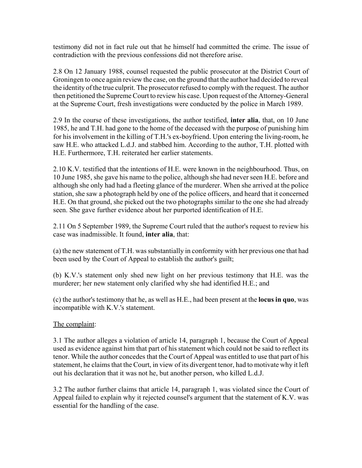testimony did not in fact rule out that he himself had committed the crime. The issue of contradiction with the previous confessions did not therefore arise.

2.8 On 12 January 1988, counsel requested the public prosecutor at the District Court of Groningen to once again review the case, on the ground that the author had decided to reveal the identity of the true culprit. The prosecutor refused to comply with the request. The author then petitioned the Supreme Court to review his case. Upon request of the Attorney-General at the Supreme Court, fresh investigations were conducted by the police in March 1989.

2.9 In the course of these investigations, the author testified, **inter alia**, that, on 10 June 1985, he and T.H. had gone to the home of the deceased with the purpose of punishing him for his involvement in the killing of T.H.'s ex-boyfriend. Upon entering the living-room, he saw H.E. who attacked L.d.J. and stabbed him. According to the author, T.H. plotted with H.E. Furthermore, T.H. reiterated her earlier statements.

2.10 K.V. testified that the intentions of H.E. were known in the neighbourhood. Thus, on 10 June 1985, she gave his name to the police, although she had never seen H.E. before and although she only had had a fleeting glance of the murderer. When she arrived at the police station, she saw a photograph held by one of the police officers, and heard that it concerned H.E. On that ground, she picked out the two photographs similar to the one she had already seen. She gave further evidence about her purported identification of H.E.

2.11 On 5 September 1989, the Supreme Court ruled that the author's request to review his case was inadmissible. It found, **inter alia**, that:

(a) the new statement of T.H. was substantially in conformity with her previous one that had been used by the Court of Appeal to establish the author's guilt;

(b) K.V.'s statement only shed new light on her previous testimony that H.E. was the murderer; her new statement only clarified why she had identified H.E.; and

(c) the author's testimony that he, as well as H.E., had been present at the **locus in quo**, was incompatible with K.V.'s statement.

# The complaint:

3.1 The author alleges a violation of article 14, paragraph 1, because the Court of Appeal used as evidence against him that part of his statement which could not be said to reflect its tenor. While the author concedes that the Court of Appeal was entitled to use that part of his statement, he claims that the Court, in view of its divergent tenor, had to motivate why it left out his declaration that it was not he, but another person, who killed L.d.J.

3.2 The author further claims that article 14, paragraph 1, was violated since the Court of Appeal failed to explain why it rejected counsel's argument that the statement of K.V. was essential for the handling of the case.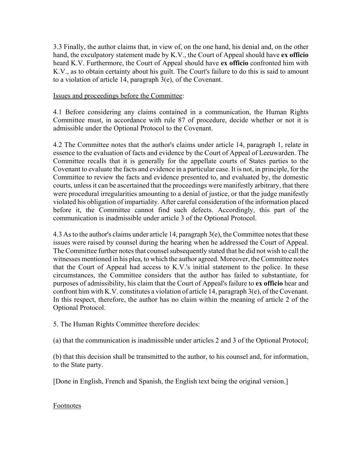3.3 Finally, the author claims that, in view of, on the one hand, his denial and, on the other hand, the exculpatory statement made by K.V., the Court of Appeal should have **ex officio** heard K.V. Furthermore, the Court of Appeal should have **ex officio** confronted him with K.V., as to obtain certainty about his guilt. The Court's failure to do this is said to amount to a violation of article 14, paragraph 3(e), of the Covenant.

## Issues and proceedings before the Committee:

4.1 Before considering any claims contained in a communication, the Human Rights Committee must, in accordance with rule 87 of procedure, decide whether or not it is admissible under the Optional Protocol to the Covenant.

4.2 The Committee notes that the author's claims under article 14, paragraph 1, relate in essence to the evaluation of facts and evidence by the Court of Appeal of Leeuwarden. The Committee recalls that it is generally for the appellate courts of States parties to the Covenant to evaluate the facts and evidence in a particular case. It is not, in principle, for the Committee to review the facts and evidence presented to, and evaluated by, the domestic courts, unless it can be ascertained that the proceedings were manifestly arbitrary, that there were procedural irregularities amounting to a denial of justice, or that the judge manifestly violated his obligation of impartiality. After careful consideration of the information placed before it, the Committee cannot find such defects. Accordingly, this part of the communication is inadmissible under article 3 of the Optional Protocol.

4.3 As to the author's claims under article 14, paragraph 3(e), the Committee notes that these issues were raised by counsel during the hearing when he addressed the Court of Appeal. The Committee further notes that counsel subsequently stated that he did not wish to call the witnesses mentioned in his plea, to which the author agreed. Moreover, the Committee notes that the Court of Appeal had access to K.V.'s initial statement to the police. In these circumstances, the Committee considers that the author has failed to substantiate, for purposes of admissibility, his claim that the Court of Appeal's failure to **ex officio** hear and confront him with K.V. constitutes a violation of article 14, paragraph 3(e), of the Covenant. In this respect, therefore, the author has no claim within the meaning of article 2 of the Optional Protocol.

5. The Human Rights Committee therefore decides:

(a) that the communication is inadmissible under articles 2 and 3 of the Optional Protocol;

(b) that this decision shall be transmitted to the author, to his counsel and, for information, to the State party.

[Done in English, French and Spanish, the English text being the original version.]

Footnotes